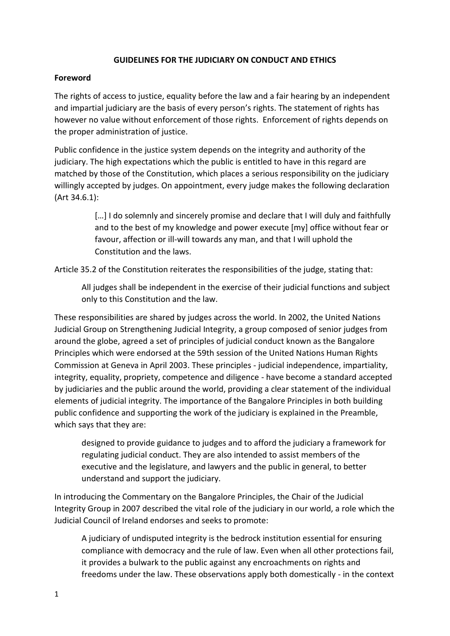#### **GUIDELINES FOR THE JUDICIARY ON CONDUCT AND ETHICS**

#### **Foreword**

The rights of access to justice, equality before the law and a fair hearing by an independent and impartial judiciary are the basis of every person's rights. The statement of rights has however no value without enforcement of those rights. Enforcement of rights depends on the proper administration of justice.

Public confidence in the justice system depends on the integrity and authority of the judiciary. The high expectations which the public is entitled to have in this regard are matched by those of the Constitution, which places a serious responsibility on the judiciary willingly accepted by judges. On appointment, every judge makes the following declaration (Art 34.6.1):

> [...] I do solemnly and sincerely promise and declare that I will duly and faithfully and to the best of my knowledge and power execute [my] office without fear or favour, affection or ill-will towards any man, and that I will uphold the Constitution and the laws.

Article 35.2 of the Constitution reiterates the responsibilities of the judge, stating that:

All judges shall be independent in the exercise of their judicial functions and subject only to this Constitution and the law.

These responsibilities are shared by judges across the world. In 2002, the United Nations Judicial Group on Strengthening Judicial Integrity, a group composed of senior judges from around the globe, agreed a set of principles of judicial conduct known as the [Bangalore](https://www.unodc.org/pdf/crime/corruption/judicial_group/Bangalore_principles.pdf)  [Principles](https://www.unodc.org/pdf/crime/corruption/judicial_group/Bangalore_principles.pdf) which were endorsed at the 59th session of the United Nations Human Rights Commission at Geneva in April 2003. These principles - judicial independence, impartiality, integrity, equality, propriety, competence and diligence - have become a standard accepted by judiciaries and the public around the world, providing a clear statement of the individual elements of judicial integrity. The importance of the Bangalore Principles in both building public confidence and supporting the work of the judiciary is explained in the Preamble, which says that they are:

designed to provide guidance to judges and to afford the judiciary a framework for regulating judicial conduct. They are also intended to assist members of the executive and the legislature, and lawyers and the public in general, to better understand and support the judiciary.

In introducing the Commentary on the Bangalore Principles, the Chair of the Judicial Integrity Group in 2007 described the vital role of the judiciary in our world, a role which the Judicial Council of Ireland endorses and seeks to promote:

A judiciary of undisputed integrity is the bedrock institution essential for ensuring compliance with democracy and the rule of law. Even when all other protections fail, it provides a bulwark to the public against any encroachments on rights and freedoms under the law. These observations apply both domestically - in the context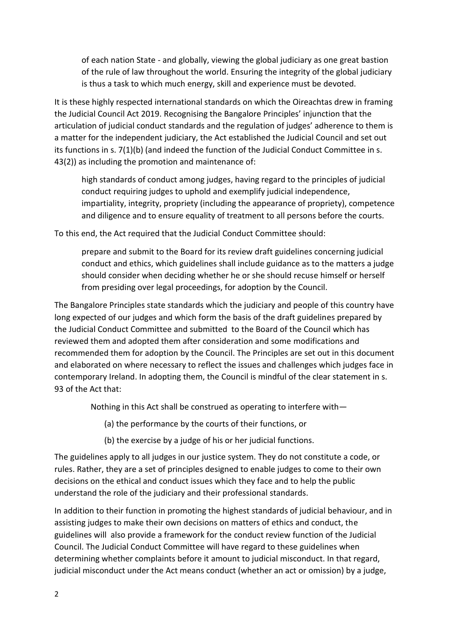of each nation State - and globally, viewing the global judiciary as one great bastion of the rule of law throughout the world. Ensuring the integrity of the global judiciary is thus a task to which much energy, skill and experience must be devoted.

It is these highly respected international standards on which the Oireachtas drew in framing the Judicial Council Act 2019. Recognising the Bangalore Principles' injunction that the articulation of judicial conduct standards and the regulation of judges' adherence to them is a matter for the independent judiciary, the Act established the Judicial Council and set out its functions in s. 7(1)(b) (and indeed the function of the Judicial Conduct Committee in s. 43(2)) as including the promotion and maintenance of:

high standards of conduct among judges, having regard to the principles of judicial conduct requiring judges to uphold and exemplify judicial independence, impartiality, integrity, propriety (including the appearance of propriety), competence and diligence and to ensure equality of treatment to all persons before the courts.

To this end, the Act required that the Judicial Conduct Committee should:

prepare and submit to the Board for its review draft guidelines concerning judicial conduct and ethics, which guidelines shall include guidance as to the matters a judge should consider when deciding whether he or she should recuse himself or herself from presiding over legal proceedings, for adoption by the Council.

The Bangalore Principles state standards which the judiciary and people of this country have long expected of our judges and which form the basis of the draft guidelines prepared by the Judicial Conduct Committee and submitted to the Board of the Council which has reviewed them and adopted them after consideration and some modifications and recommended them for adoption by the Council. The Principles are set out in this document and elaborated on where necessary to reflect the issues and challenges which judges face in contemporary Ireland. In adopting them, the Council is mindful of the clear statement in s. 93 of the Act that:

Nothing in this Act shall be construed as operating to interfere with—

(a) the performance by the courts of their functions, or

(b) the exercise by a judge of his or her judicial functions.

The guidelines apply to all judges in our justice system. They do not constitute a code, or rules. Rather, they are a set of principles designed to enable judges to come to their own decisions on the ethical and conduct issues which they face and to help the public understand the role of the judiciary and their professional standards.

In addition to their function in promoting the highest standards of judicial behaviour, and in assisting judges to make their own decisions on matters of ethics and conduct, the guidelines will also provide a framework for the conduct review function of the Judicial Council. The Judicial Conduct Committee will have regard to these guidelines when determining whether complaints before it amount to judicial misconduct. In that regard, judicial misconduct under the Act means conduct (whether an act or omission) by a judge,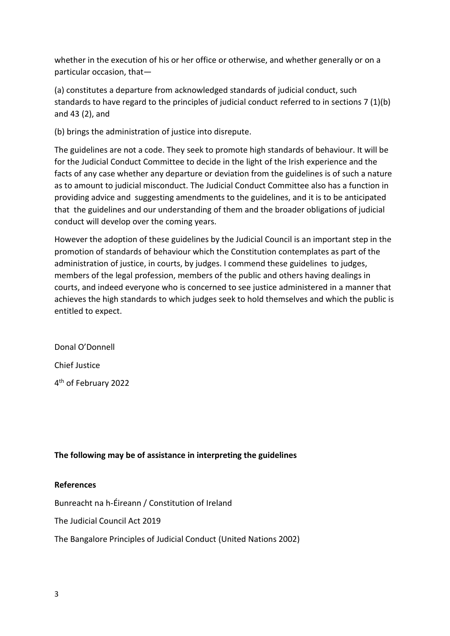whether in the execution of his or her office or otherwise, and whether generally or on a particular occasion, that—

(a) constitutes a departure from acknowledged standards of judicial conduct, such standards to have regard to the principles of judicial conduct referred to in sections 7 (1)(b) and 43 (2), and

(b) brings the administration of justice into disrepute.

The guidelines are not a code. They seek to promote high standards of behaviour. It will be for the Judicial Conduct Committee to decide in the light of the Irish experience and the facts of any case whether any departure or deviation from the guidelines is of such a nature as to amount to judicial misconduct. The Judicial Conduct Committee also has a function in providing advice and suggesting amendments to the guidelines, and it is to be anticipated that the guidelines and our understanding of them and the broader obligations of judicial conduct will develop over the coming years.

However the adoption of these guidelines by the Judicial Council is an important step in the promotion of standards of behaviour which the Constitution contemplates as part of the administration of justice, in courts, by judges. I commend these guidelines to judges, members of the legal profession, members of the public and others having dealings in courts, and indeed everyone who is concerned to see justice administered in a manner that achieves the high standards to which judges seek to hold themselves and which the public is entitled to expect.

Donal O'Donnell Chief Justice 4 th of February 2022

# **The following may be of assistance in interpreting the guidelines**

#### **References**

Bunreacht na h-Éireann / [Constitution of Ireland](http://www.irishstatutebook.ie/eli/cons/en/html) 

The [Judicial Council Act 2019](http://www.irishstatutebook.ie/eli/2019/act/33/enacted/en/html)

[The Bangalore Principles of Judicial Conduct](https://www.unodc.org/pdf/crime/corruption/judicial_group/Bangalore_principles.pdf) (United Nations 2002)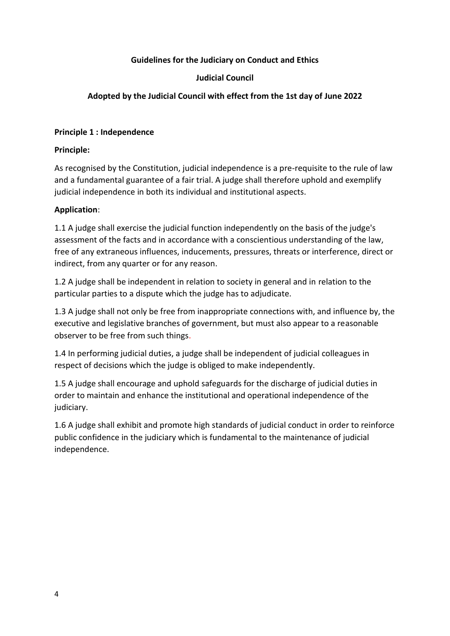### **Guidelines for the Judiciary on Conduct and Ethics**

#### **Judicial Council**

## **Adopted by the Judicial Council with effect from the 1st day of June 2022**

#### **Principle 1 : Independence**

#### **Principle:**

As recognised by the Constitution, judicial independence is a pre-requisite to the rule of law and a fundamental guarantee of a fair trial. A judge shall therefore uphold and exemplify judicial independence in both its individual and institutional aspects.

#### **Application**:

1.1 A judge shall exercise the judicial function independently on the basis of the judge's assessment of the facts and in accordance with a conscientious understanding of the law, free of any extraneous influences, inducements, pressures, threats or interference, direct or indirect, from any quarter or for any reason.

1.2 A judge shall be independent in relation to society in general and in relation to the particular parties to a dispute which the judge has to adjudicate.

1.3 A judge shall not only be free from inappropriate connections with, and influence by, the executive and legislative branches of government, but must also appear to a reasonable observer to be free from such things.

1.4 In performing judicial duties, a judge shall be independent of judicial colleagues in respect of decisions which the judge is obliged to make independently.

1.5 A judge shall encourage and uphold safeguards for the discharge of judicial duties in order to maintain and enhance the institutional and operational independence of the judiciary.

1.6 A judge shall exhibit and promote high standards of judicial conduct in order to reinforce public confidence in the judiciary which is fundamental to the maintenance of judicial independence.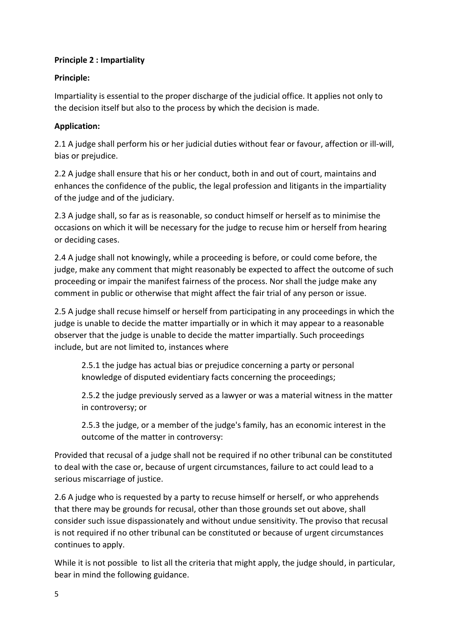## **Principle 2 : Impartiality**

## **Principle:**

Impartiality is essential to the proper discharge of the judicial office. It applies not only to the decision itself but also to the process by which the decision is made.

## **Application:**

2.1 A judge shall perform his or her judicial duties without fear or favour, affection or ill-will, bias or prejudice.

2.2 A judge shall ensure that his or her conduct, both in and out of court, maintains and enhances the confidence of the public, the legal profession and litigants in the impartiality of the judge and of the judiciary.

2.3 A judge shall, so far as is reasonable, so conduct himself or herself as to minimise the occasions on which it will be necessary for the judge to recuse him or herself from hearing or deciding cases.

2.4 A judge shall not knowingly, while a proceeding is before, or could come before, the judge, make any comment that might reasonably be expected to affect the outcome of such proceeding or impair the manifest fairness of the process. Nor shall the judge make any comment in public or otherwise that might affect the fair trial of any person or issue.

2.5 A judge shall recuse himself or herself from participating in any proceedings in which the judge is unable to decide the matter impartially or in which it may appear to a reasonable observer that the judge is unable to decide the matter impartially. Such proceedings include, but are not limited to, instances where

2.5.1 the judge has actual bias or prejudice concerning a party or personal knowledge of disputed evidentiary facts concerning the proceedings;

2.5.2 the judge previously served as a lawyer or was a material witness in the matter in controversy; or

2.5.3 the judge, or a member of the judge's family, has an economic interest in the outcome of the matter in controversy:

Provided that recusal of a judge shall not be required if no other tribunal can be constituted to deal with the case or, because of urgent circumstances, failure to act could lead to a serious miscarriage of justice.

2.6 A judge who is requested by a party to recuse himself or herself, or who apprehends that there may be grounds for recusal, other than those grounds set out above, shall consider such issue dispassionately and without undue sensitivity. The proviso that recusal is not required if no other tribunal can be constituted or because of urgent circumstances continues to apply.

While it is not possible to list all the criteria that might apply, the judge should, in particular, bear in mind the following guidance.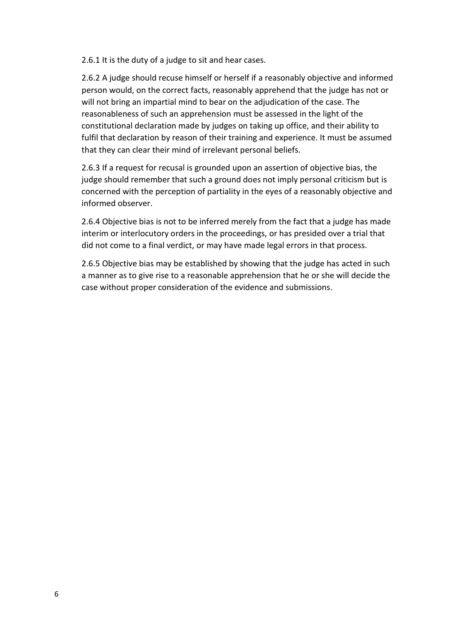2.6.1 It is the duty of a judge to sit and hear cases.

2.6.2 A judge should recuse himself or herself if a reasonably objective and informed person would, on the correct facts, reasonably apprehend that the judge has not or will not bring an impartial mind to bear on the adjudication of the case. The reasonableness of such an apprehension must be assessed in the light of the constitutional declaration made by judges on taking up office, and their ability to fulfil that declaration by reason of their training and experience. It must be assumed that they can clear their mind of irrelevant personal beliefs.

2.6.3 If a request for recusal is grounded upon an assertion of objective bias, the judge should remember that such a ground does not imply personal criticism but is concerned with the perception of partiality in the eyes of a reasonably objective and informed observer.

2.6.4 Objective bias is not to be inferred merely from the fact that a judge has made interim or interlocutory orders in the proceedings, or has presided over a trial that did not come to a final verdict, or may have made legal errors in that process.

2.6.5 Objective bias may be established by showing that the judge has acted in such a manner as to give rise to a reasonable apprehension that he or she will decide the case without proper consideration of the evidence and submissions.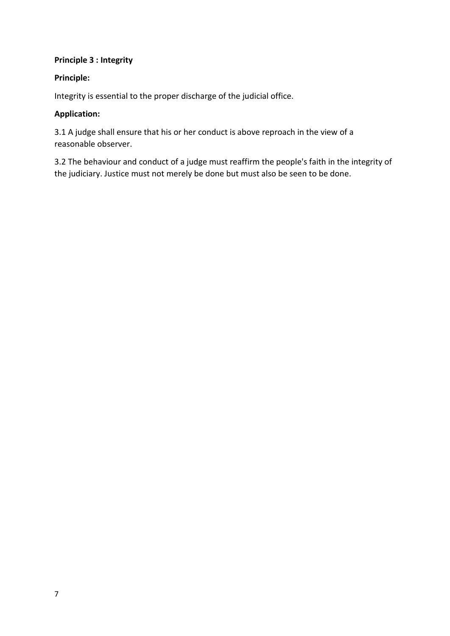## **Principle 3 : Integrity**

## **Principle:**

Integrity is essential to the proper discharge of the judicial office.

### **Application:**

3.1 A judge shall ensure that his or her conduct is above reproach in the view of a reasonable observer.

3.2 The behaviour and conduct of a judge must reaffirm the people's faith in the integrity of the judiciary. Justice must not merely be done but must also be seen to be done.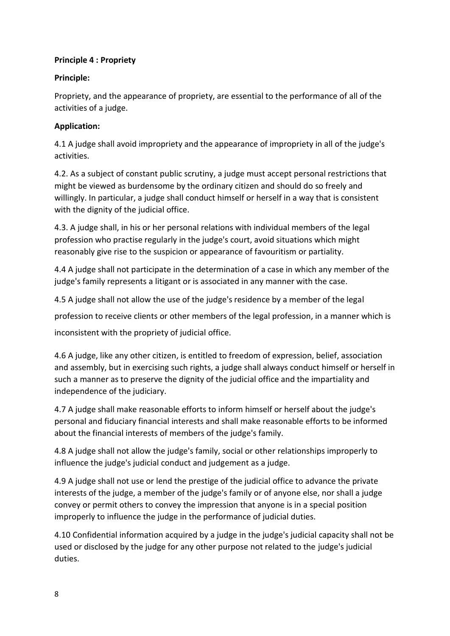## **Principle 4 : Propriety**

## **Principle:**

Propriety, and the appearance of propriety, are essential to the performance of all of the activities of a judge.

# **Application:**

4.1 A judge shall avoid impropriety and the appearance of impropriety in all of the judge's activities.

4.2. As a subject of constant public scrutiny, a judge must accept personal restrictions that might be viewed as burdensome by the ordinary citizen and should do so freely and willingly. In particular, a judge shall conduct himself or herself in a way that is consistent with the dignity of the judicial office.

4.3. A judge shall, in his or her personal relations with individual members of the legal profession who practise regularly in the judge's court, avoid situations which might reasonably give rise to the suspicion or appearance of favouritism or partiality.

4.4 A judge shall not participate in the determination of a case in which any member of the judge's family represents a litigant or is associated in any manner with the case.

4.5 A judge shall not allow the use of the judge's residence by a member of the legal

profession to receive clients or other members of the legal profession, in a manner which is

inconsistent with the propriety of judicial office.

4.6 A judge, like any other citizen, is entitled to freedom of expression, belief, association and assembly, but in exercising such rights, a judge shall always conduct himself or herself in such a manner as to preserve the dignity of the judicial office and the impartiality and independence of the judiciary.

4.7 A judge shall make reasonable efforts to inform himself or herself about the judge's personal and fiduciary financial interests and shall make reasonable efforts to be informed about the financial interests of members of the judge's family.

4.8 A judge shall not allow the judge's family, social or other relationships improperly to influence the judge's judicial conduct and judgement as a judge.

4.9 A judge shall not use or lend the prestige of the judicial office to advance the private interests of the judge, a member of the judge's family or of anyone else, nor shall a judge convey or permit others to convey the impression that anyone is in a special position improperly to influence the judge in the performance of judicial duties.

4.10 Confidential information acquired by a judge in the judge's judicial capacity shall not be used or disclosed by the judge for any other purpose not related to the judge's judicial duties.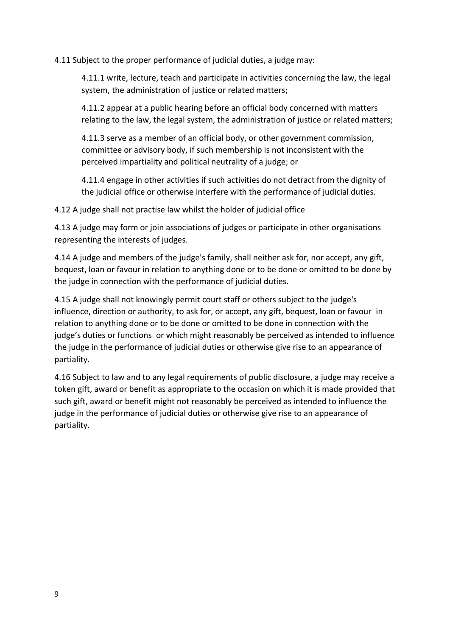4.11 Subject to the proper performance of judicial duties, a judge may:

4.11.1 write, lecture, teach and participate in activities concerning the law, the legal system, the administration of justice or related matters;

4.11.2 appear at a public hearing before an official body concerned with matters relating to the law, the legal system, the administration of justice or related matters;

4.11.3 serve as a member of an official body, or other government commission, committee or advisory body, if such membership is not inconsistent with the perceived impartiality and political neutrality of a judge; or

4.11.4 engage in other activities if such activities do not detract from the dignity of the judicial office or otherwise interfere with the performance of judicial duties.

4.12 A judge shall not practise law whilst the holder of judicial office

4.13 A judge may form or join associations of judges or participate in other organisations representing the interests of judges.

4.14 A judge and members of the judge's family, shall neither ask for, nor accept, any gift, bequest, loan or favour in relation to anything done or to be done or omitted to be done by the judge in connection with the performance of judicial duties.

4.15 A judge shall not knowingly permit court staff or others subject to the judge's influence, direction or authority, to ask for, or accept, any gift, bequest, loan or favour in relation to anything done or to be done or omitted to be done in connection with the judge's duties or functions or which might reasonably be perceived as intended to influence the judge in the performance of judicial duties or otherwise give rise to an appearance of partiality.

4.16 Subject to law and to any legal requirements of public disclosure, a judge may receive a token gift, award or benefit as appropriate to the occasion on which it is made provided that such gift, award or benefit might not reasonably be perceived as intended to influence the judge in the performance of judicial duties or otherwise give rise to an appearance of partiality.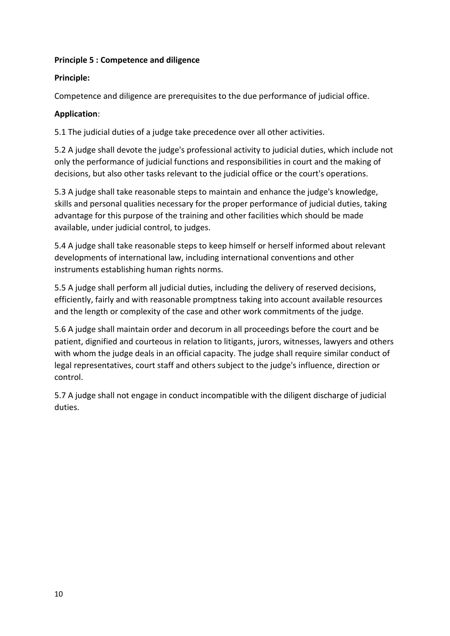#### **Principle 5 : Competence and diligence**

### **Principle:**

Competence and diligence are prerequisites to the due performance of judicial office.

## **Application**:

5.1 The judicial duties of a judge take precedence over all other activities.

5.2 A judge shall devote the judge's professional activity to judicial duties, which include not only the performance of judicial functions and responsibilities in court and the making of decisions, but also other tasks relevant to the judicial office or the court's operations.

5.3 A judge shall take reasonable steps to maintain and enhance the judge's knowledge, skills and personal qualities necessary for the proper performance of judicial duties, taking advantage for this purpose of the training and other facilities which should be made available, under judicial control, to judges.

5.4 A judge shall take reasonable steps to keep himself or herself informed about relevant developments of international law, including international conventions and other instruments establishing human rights norms.

5.5 A judge shall perform all judicial duties, including the delivery of reserved decisions, efficiently, fairly and with reasonable promptness taking into account available resources and the length or complexity of the case and other work commitments of the judge.

5.6 A judge shall maintain order and decorum in all proceedings before the court and be patient, dignified and courteous in relation to litigants, jurors, witnesses, lawyers and others with whom the judge deals in an official capacity. The judge shall require similar conduct of legal representatives, court staff and others subject to the judge's influence, direction or control.

5.7 A judge shall not engage in conduct incompatible with the diligent discharge of judicial duties.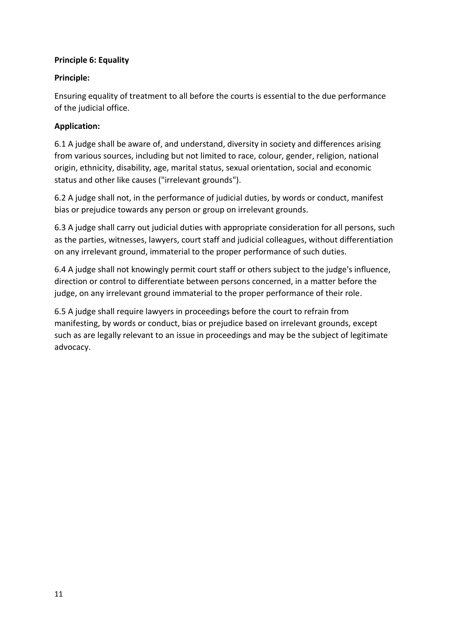### **Principle 6: Equality**

### **Principle:**

Ensuring equality of treatment to all before the courts is essential to the due performance of the judicial office.

## **Application:**

6.1 A judge shall be aware of, and understand, diversity in society and differences arising from various sources, including but not limited to race, colour, gender, religion, national origin, ethnicity, disability, age, marital status, sexual orientation, social and economic status and other like causes ("irrelevant grounds").

6.2 A judge shall not, in the performance of judicial duties, by words or conduct, manifest bias or prejudice towards any person or group on irrelevant grounds.

6.3 A judge shall carry out judicial duties with appropriate consideration for all persons, such as the parties, witnesses, lawyers, court staff and judicial colleagues, without differentiation on any irrelevant ground, immaterial to the proper performance of such duties.

6.4 A judge shall not knowingly permit court staff or others subject to the judge's influence, direction or control to differentiate between persons concerned, in a matter before the judge, on any irrelevant ground immaterial to the proper performance of their role.

6.5 A judge shall require lawyers in proceedings before the court to refrain from manifesting, by words or conduct, bias or prejudice based on irrelevant grounds, except such as are legally relevant to an issue in proceedings and may be the subject of legitimate advocacy.